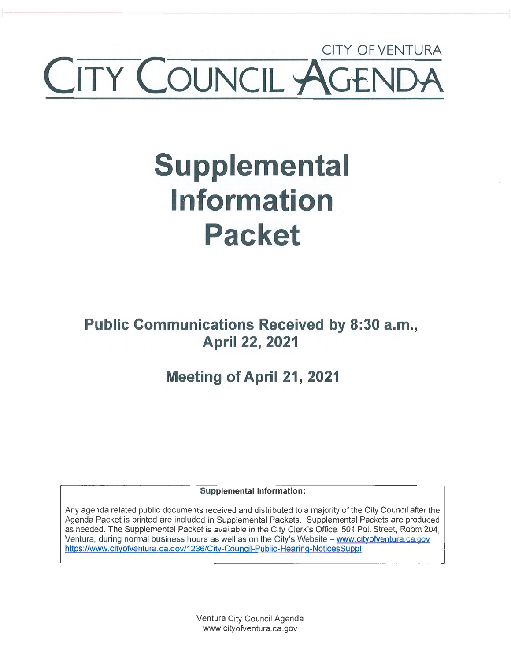## CITY OF VENTURA CITY COUNCIL AGEI

# **Supplemental Information Packet**

**Public Communications Received by 8:30 a.m., April 22, 2021** 

### **Meeting of April 21, 2021**

**Supplemental Information:** 

Any agenda related public documents received and distributed to a majority of the City Council after the Agenda Packet is printed are included in Supplemental Packets. Supplemental Packets are produced as needed. The Supplemental Packet is available in the City Clerk's Office, 501 Poli Street, Room 204, Ventura, during normal business hours as well as on the City's Website - www.cityofventura.ca.gov https://www.cityofventura.ca.gov/1236/City-Council-Public-Hearing-NoticesSuppl

> Ventura City Council Agenda www.cityofventura.ca.gov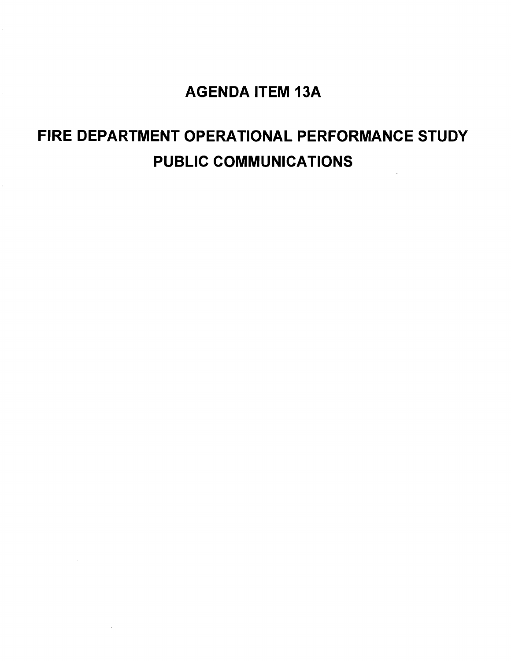### AGENDA ITEM 13A

### FIRE DEPARTMENT OPERATIONAL PERFORMANCE STUDY PUBLIC COMMUNICATIONS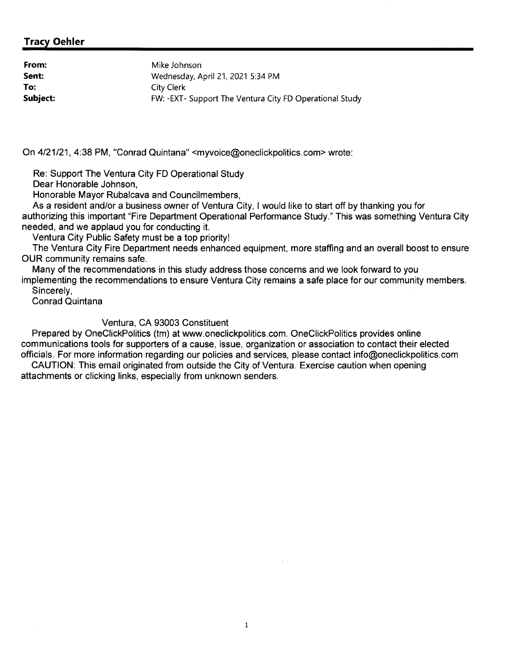#### **Tracy Oehler**

| From:    | Mike Johnson                                            |
|----------|---------------------------------------------------------|
| Sent:    | Wednesday, April 21, 2021 5:34 PM                       |
| To:      | City Clerk                                              |
| Subject: | FW: -EXT- Support The Ventura City FD Operational Study |

On 4/21/21, 4:38 PM, "Conrad Quintana" <myvoice@oneclickpolitics.com> wrote:

Re: Support The Ventura City FD Operational Study

Dear Honorable Johnson,

Honorable Mayor Rubalcava and Councilmembers,

As a resident and/or a business owner of Ventura City, I would like to start off by thanking you for authorizing this important "Fire Department Operational Performance Study." This was something Ventura City needed, and we applaud you for conducting it.

Ventura City Public Safety must be a top priority!

The Ventura City Fire Department needs enhanced equipment, more staffing and an overall boost to ensure OUR community remains safe.

Many of the recommendations in this study address those concerns and we look forward to you implementing the recommendations to ensure Ventura City remains a safe place for our community members. Sincerely,

Conrad Quintana

Ventura, CA 93003 Constituent

Prepared by OneClickPolitics (tm) at www.oneclickpolitics.com. OneClickPolitics provides online communications tools for supporters of a cause, issue, organization or association to contact their elected officials. For more information regarding our policies and services, please contact info@oneclickpolitics.com

CAUTION: This email originated from outside the City of Ventura. Exercise caution when opening attachments or clicking links, especially from unknown senders.